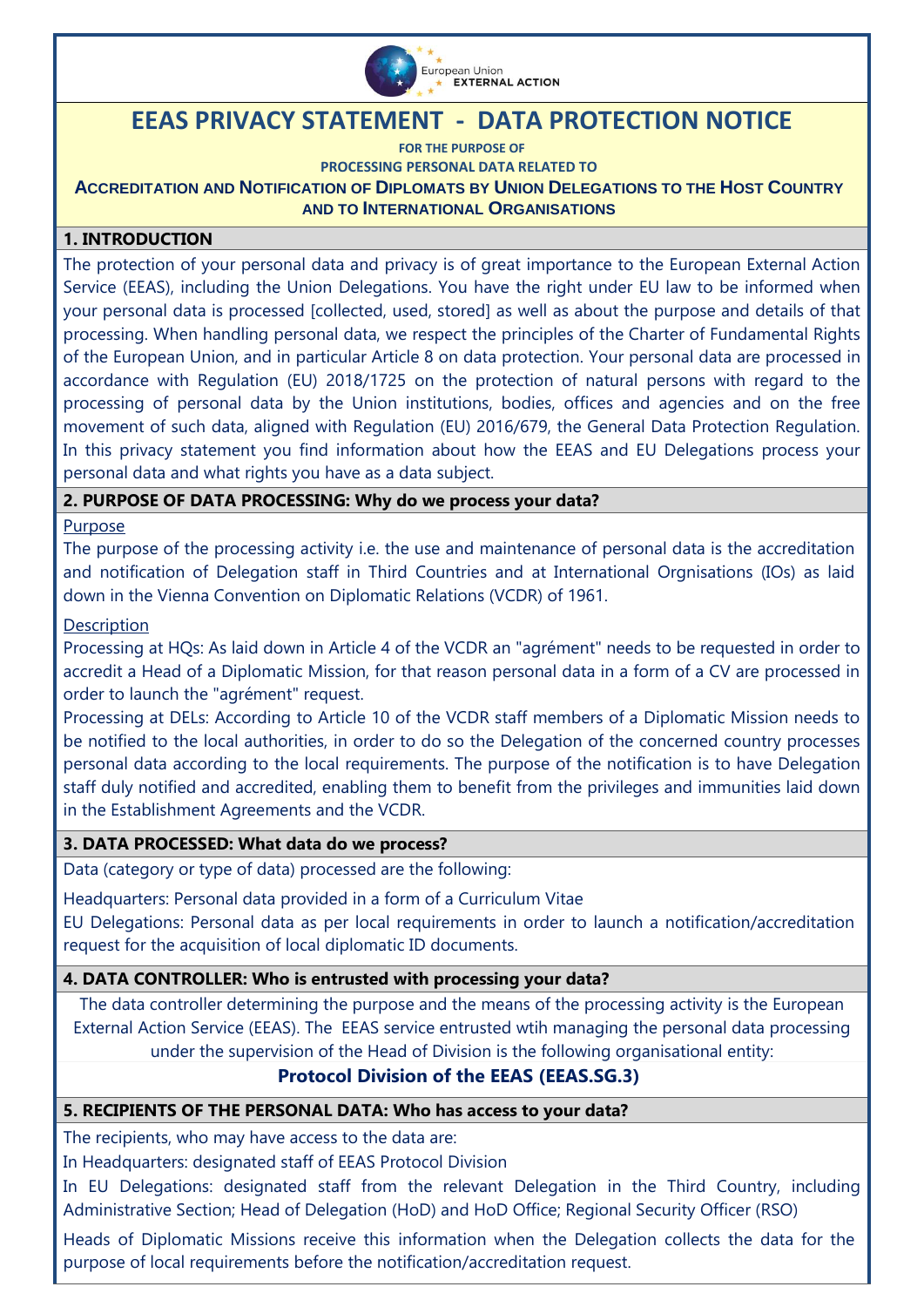

# **EEAS PRIVACY STATEMENT - DATA PROTECTION NOTICE**

**FOR THE PURPOSE OF PROCESSING PERSONAL DATA RELATED TO ACCREDITATION AND NOTIFICATION OF DIPLOMATS BY UNION DELEGATIONS TO THE HOST COUNTRY AND TO INTERNATIONAL ORGANISATIONS**

### **1. INTRODUCTION**

The protection of your personal data and privacy is of great importance to the European External Action Service (EEAS), including the Union Delegations. You have the right under EU law to be informed when your personal data is processed [collected, used, stored] as well as about the purpose and details of that processing. When handling personal data, we respect the principles of the Charter of Fundamental Rights of the European Union, and in particular Article 8 on data protection. Your personal data are processed in accordance with [Regulation \(EU\) 2018/1725 on the protection of natural persons with regard to the](https://eur-lex.europa.eu/legal-content/EN/TXT/?uri=CELEX%3A32018R1725)  [processing of personal data by the Union institutions, bodies, offices and agencies and on the free](https://eur-lex.europa.eu/legal-content/EN/TXT/?uri=CELEX%3A32018R1725)  [movement of such data,](https://eur-lex.europa.eu/legal-content/EN/TXT/?uri=CELEX%3A32018R1725) aligned with Regulation (EU) 2016/679, the General Data Protection Regulation. In this privacy statement you find information about how the EEAS and EU Delegations process your personal data and what rights you have as a data subject.

# **2. PURPOSE OF DATA PROCESSING: Why do we process your data?**

#### Purpose

The purpose of the processing activity i.e. the use and maintenance of personal data is the accreditation and notification of Delegation staff in Third Countries and at International Orgnisations (IOs) as laid down in the Vienna Convention on Diplomatic Relations (VCDR) of 1961.

#### **Description**

Processing at HQs: As laid down in Article 4 of the VCDR an "agrément" needs to be requested in order to accredit a Head of a Diplomatic Mission, for that reason personal data in a form of a CV are processed in order to launch the "agrément" request.

Processing at DELs: According to Article 10 of the VCDR staff members of a Diplomatic Mission needs to be notified to the local authorities, in order to do so the Delegation of the concerned country processes personal data according to the local requirements. The purpose of the notification is to have Delegation staff duly notified and accredited, enabling them to benefit from the privileges and immunities laid down in the Establishment Agreements and the VCDR.

#### **3. DATA PROCESSED: What data do we process?**

Data (category or type of data) processed are the following:

Headquarters: Personal data provided in a form of a Curriculum Vitae

EU Delegations: Personal data as per local requirements in order to launch a notification/accreditation request for the acquisition of local diplomatic ID documents.

#### **4. DATA CONTROLLER: Who is entrusted with processing your data?**

The data controller determining the purpose and the means of the processing activity is the European External Action Service (EEAS). The EEAS service entrusted wtih managing the personal data processing under the supervision of the Head of Division is the following organisational entity:

# **Protocol Division of the EEAS (EEAS.SG.3)**

#### **5. RECIPIENTS OF THE PERSONAL DATA: Who has access to your data?**

The recipients, who may have access to the data are:

In Headquarters: designated staff of EEAS Protocol Division

In EU Delegations: designated staff from the relevant Delegation in the Third Country, including Administrative Section; Head of Delegation (HoD) and HoD Office; Regional Security Officer (RSO)

Heads of Diplomatic Missions receive this information when the Delegation collects the data for the purpose of local requirements before the notification/accreditation request.